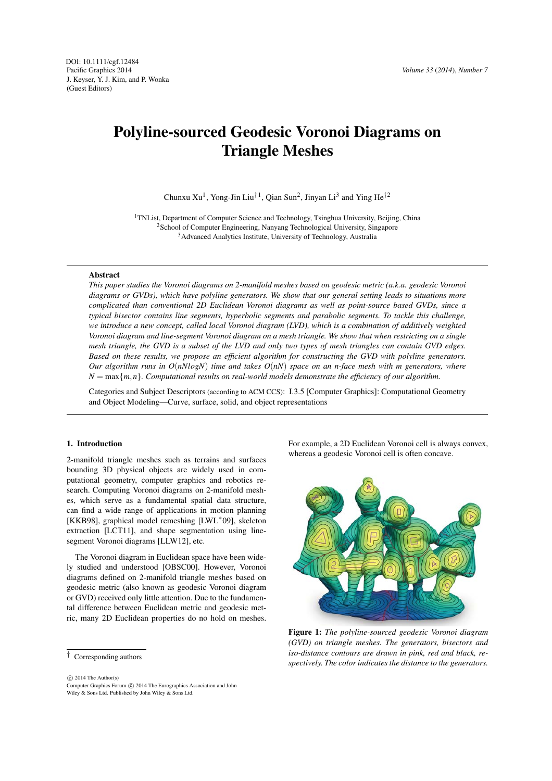# Polyline-sourced Geodesic Voronoi Diagrams on Triangle Meshes

Chunxu Xu<sup>1</sup>, Yong-Jin Liu<sup>†1</sup>, Qian Sun<sup>2</sup>, Jinyan Li<sup>3</sup> and Ying He<sup>†2</sup>

<sup>1</sup>TNList, Department of Computer Science and Technology, Tsinghua University, Beijing, China 2School of Computer Engineering, Nanyang Technological University, Singapore 3Advanced Analytics Institute, University of Technology, Australia

### **Abstract**

*This paper studies the Voronoi diagrams on 2-manifold meshes based on geodesic metric (a.k.a. geodesic Voronoi diagrams or GVDs), which have polyline generators. We show that our general setting leads to situations more complicated than conventional 2D Euclidean Voronoi diagrams as well as point-source based GVDs, since a typical bisector contains line segments, hyperbolic segments and parabolic segments. To tackle this challenge, we introduce a new concept, called local Voronoi diagram (LVD), which is a combination of additively weighted Voronoi diagram and line-segment Voronoi diagram on a mesh triangle. We show that when restricting on a single mesh triangle, the GVD is a subset of the LVD and only two types of mesh triangles can contain GVD edges. Based on these results, we propose an efficient algorithm for constructing the GVD with polyline generators. Our algorithm runs in O*(*nNlogN*) *time and takes O*(*nN*) *space on an n-face mesh with m generators, where*  $N = \max\{m, n\}$ *. Computational results on real-world models demonstrate the efficiency of our algorithm.* 

Categories and Subject Descriptors (according to ACM CCS): I.3.5 [Computer Graphics]: Computational Geometry and Object Modeling—Curve, surface, solid, and object representations

## 1. Introduction

2-manifold triangle meshes such as terrains and surfaces bounding 3D physical objects are widely used in computational geometry, computer graphics and robotics research. Computing Voronoi diagrams on 2-manifold meshes, which serve as a fundamental spatial data structure, can find a wide range of applications in motion planning [KKB98], graphical model remeshing [LWL∗09], skeleton extraction [LCT11], and shape segmentation using linesegment Voronoi diagrams [LLW12], etc.

The Voronoi diagram in Euclidean space have been widely studied and understood [OBSC00]. However, Voronoi diagrams defined on 2-manifold triangle meshes based on geodesic metric (also known as geodesic Voronoi diagram or GVD) received only little attention. Due to the fundamental difference between Euclidean metric and geodesic metric, many 2D Euclidean properties do no hold on meshes.

-Computer Graphics Forum -c 2014 The Eurographics Association and John  $\odot$  2014 The Author(s) Wiley & Sons Ltd. Published by John Wiley & Sons Ltd.

For example, a 2D Euclidean Voronoi cell is always convex, whereas a geodesic Voronoi cell is often concave.



Figure 1: *The polyline-sourced geodesic Voronoi diagram (GVD) on triangle meshes. The generators, bisectors and iso-distance contours are drawn in pink, red and black, respectively. The color indicates the distance to the generators.*

<sup>†</sup> Corresponding authors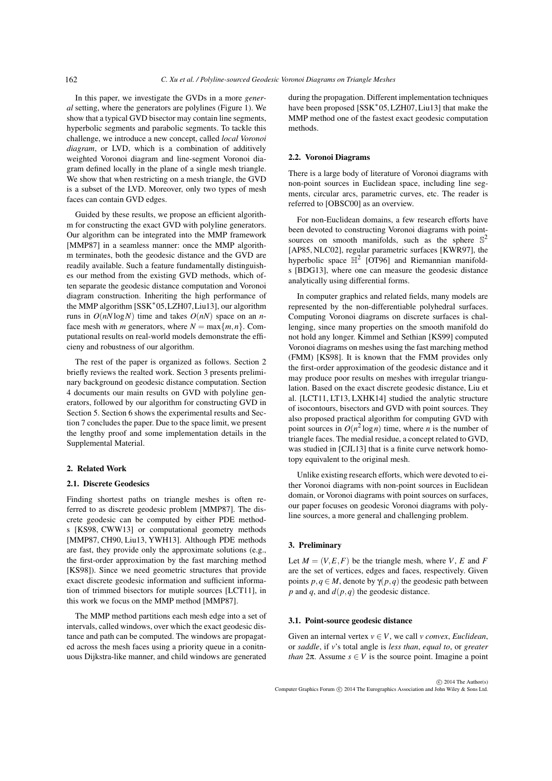In this paper, we investigate the GVDs in a more *general* setting, where the generators are polylines (Figure 1). We show that a typical GVD bisector may contain line segments, hyperbolic segments and parabolic segments. To tackle this challenge, we introduce a new concept, called *local Voronoi diagram*, or LVD, which is a combination of additively weighted Voronoi diagram and line-segment Voronoi diagram defined locally in the plane of a single mesh triangle. We show that when restricting on a mesh triangle, the GVD is a subset of the LVD. Moreover, only two types of mesh faces can contain GVD edges.

Guided by these results, we propose an efficient algorithm for constructing the exact GVD with polyline generators. Our algorithm can be integrated into the MMP framework [MMP87] in a seamless manner: once the MMP algorithm terminates, both the geodesic distance and the GVD are readily available. Such a feature fundamentally distinguishes our method from the existing GVD methods, which often separate the geodesic distance computation and Voronoi diagram construction. Inheriting the high performance of the MMP algorithm [SSK∗05,LZH07,Liu13], our algorithm runs in  $O(nN \log N)$  time and takes  $O(nN)$  space on an *n*face mesh with *m* generators, where  $N = \max\{m, n\}$ . Computational results on real-world models demonstrate the efficieny and robustness of our algorithm.

The rest of the paper is organized as follows. Section 2 briefly reviews the realted work. Section 3 presents preliminary background on geodesic distance computation. Section 4 documents our main results on GVD with polyline generators, followed by our algorithm for constructing GVD in Section 5. Section 6 shows the experimental results and Section 7 concludes the paper. Due to the space limit, we present the lengthy proof and some implementation details in the Supplemental Material.

# 2. Related Work

# 2.1. Discrete Geodesics

Finding shortest paths on triangle meshes is often referred to as discrete geodesic problem [MMP87]. The discrete geodesic can be computed by either PDE methods [KS98, CWW13] or computational geometry methods [MMP87, CH90, Liu13, YWH13]. Although PDE methods are fast, they provide only the approximate solutions (e.g., the first-order approximation by the fast marching method [KS98]). Since we need geometric structures that provide exact discrete geodesic information and sufficient information of trimmed bisectors for mutiple sources [LCT11], in this work we focus on the MMP method [MMP87].

The MMP method partitions each mesh edge into a set of intervals, called windows, over which the exact geodesic distance and path can be computed. The windows are propagated across the mesh faces using a priority queue in a conitnuous Dijkstra-like manner, and child windows are generated

during the propagation. Different implementation techniques have been proposed [SSK∗05, LZH07, Liu13] that make the MMP method one of the fastest exact geodesic computation methods.

### 2.2. Voronoi Diagrams

There is a large body of literature of Voronoi diagrams with non-point sources in Euclidean space, including line segments, circular arcs, parametric curves, etc. The reader is referred to [OBSC00] as an overview.

For non-Euclidean domains, a few research efforts have been devoted to constructing Voronoi diagrams with pointsources on smooth manifolds, such as the sphere  $\mathbb{S}^2$ [AP85, NLC02], regular parametric surfaces [KWR97], the hyperbolic space  $\mathbb{H}^2$  [OT96] and Riemannian manifolds [BDG13], where one can measure the geodesic distance analytically using differential forms.

In computer graphics and related fields, many models are represented by the non-differentiable polyhedral surfaces. Computing Voronoi diagrams on discrete surfaces is challenging, since many properties on the smooth manifold do not hold any longer. Kimmel and Sethian [KS99] computed Voronoi diagrams on meshes using the fast marching method (FMM) [KS98]. It is known that the FMM provides only the first-order approximation of the geodesic distance and it may produce poor results on meshes with irregular triangulation. Based on the exact discrete geodesic distance, Liu et al. [LCT11, LT13, LXHK14] studied the analytic structure of isocontours, bisectors and GVD with point sources. They also proposed practical algorithm for computing GVD with point sources in  $O(n^2 \log n)$  time, where *n* is the number of triangle faces. The medial residue, a concept related to GVD, was studied in [CJL13] that is a finite curve network homotopy equivalent to the original mesh.

Unlike existing research efforts, which were devoted to either Voronoi diagrams with non-point sources in Euclidean domain, or Voronoi diagrams with point sources on surfaces, our paper focuses on geodesic Voronoi diagrams with polyline sources, a more general and challenging problem.

### 3. Preliminary

Let  $M = (V, E, F)$  be the triangle mesh, where *V*, *E* and *F* are the set of vertices, edges and faces, respectively. Given points *p*,*q* ∈ *M*, denote by  $γ(p, q)$  the geodesic path between *p* and *q*, and *d*(*p*,*q*) the geodesic distance.

### 3.1. Point-source geodesic distance

Given an internal vertex  $v \in V$ , we call *v convex*, *Euclidean*, or *saddle*, if *v*'s total angle is *less than*, *equal to*, or *greater than*  $2\pi$ . Assume  $s \in V$  is the source point. Imagine a point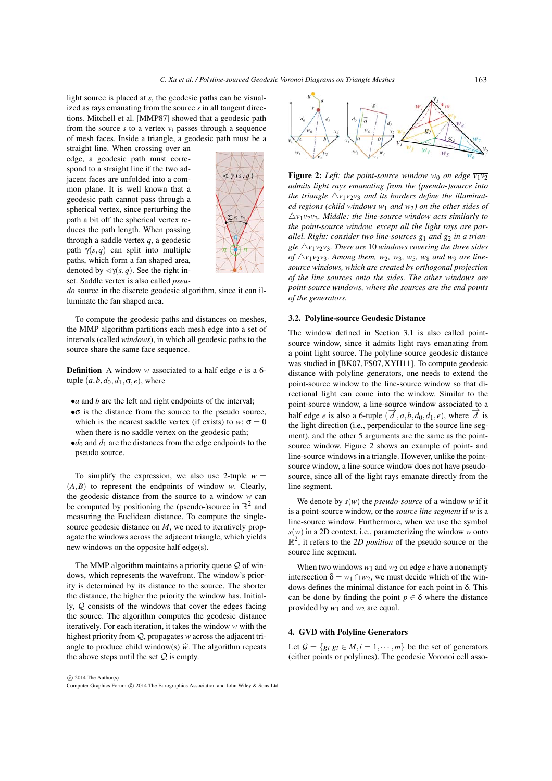light source is placed at *s*, the geodesic paths can be visualized as rays emanating from the source *s* in all tangent directions. Mitchell et al. [MMP87] showed that a geodesic path from the source  $s$  to a vertex  $v_i$  passes through a sequence of mesh faces. Inside a triangle, a geodesic path must be a

straight line. When crossing over an edge, a geodesic path must correspond to a straight line if the two adjacent faces are unfolded into a common plane. It is well known that a geodesic path cannot pass through a spherical vertex, since perturbing the path a bit off the spherical vertex reduces the path length. When passing through a saddle vertex *q*, a geodesic path γ(*s*,*q*) can split into multiple paths, which form a fan shaped area, denoted by  $\langle \gamma(s,q) \rangle$ . See the right inset. Saddle vertex is also called *pseu-*



*do* source in the discrete geodesic algorithm, since it can illuminate the fan shaped area.

To compute the geodesic paths and distances on meshes, the MMP algorithm partitions each mesh edge into a set of intervals (called *windows*), in which all geodesic paths to the source share the same face sequence.

Definition A window *w* associated to a half edge *e* is a 6 tuple  $(a, b, d_0, d_1, \sigma, e)$ , where

- •*a* and *b* are the left and right endpoints of the interval;
- •σ is the distance from the source to the pseudo source, which is the nearest saddle vertex (if exists) to *w*;  $\sigma = 0$ when there is no saddle vertex on the geodesic path;
- $\bullet$ *d*<sub>0</sub> and *d*<sub>1</sub> are the distances from the edge endpoints to the pseudo source.

To simplify the expression, we also use 2-tuple  $w =$ (*A*,*B*) to represent the endpoints of window *w*. Clearly, the geodesic distance from the source to a window *w* can be computed by positioning the (pseudo-)source in  $\mathbb{R}^2$  and measuring the Euclidean distance. To compute the singlesource geodesic distance on *M*, we need to iteratively propagate the windows across the adjacent triangle, which yields new windows on the opposite half edge(s).

The MMP algorithm maintains a priority queue  $\mathcal{Q}$  of windows, which represents the wavefront. The window's priority is determined by its distance to the source. The shorter the distance, the higher the priority the window has. Initially, Q consists of the windows that cover the edges facing the source. The algorithm computes the geodesic distance iteratively. For each iteration, it takes the window *w* with the highest priority from Q, propagates *w* across the adjacent trithe source. The algorithm computes the geodesic distance<br>iteratively. For each iteration, it takes the window w with the<br>highest priority from  $Q$ , propagates w across the adjacent tri-<br>angle to produce child window(s)  $\$ the above steps until the set  $Q$  is empty.



Figure 2: Left: the point-source window  $w_0$  on edge  $\overline{v_1v_2}$ *admits light rays emanating from the (pseudo-)source into the triangle*  $\Delta v_1 v_2 v_3$  *and its borders define the illuminated regions (child windows w*<sup>1</sup> *and w*2*) on the other sides of*  $\triangle$ *v*<sub>1</sub>*v*<sub>2</sub>*v*<sub>3</sub>*. Middle: the line-source window acts similarly to the point-source window, except all the light rays are par*allel. Right: consider two line-sources  $g_1$  and  $g_2$  in a trian*gle*  $\triangle v_1v_2v_3$ *. There are* 10 *windows covering the three sides* of  $\triangle v_1v_2v_3$ . Among them,  $w_2$ ,  $w_3$ ,  $w_5$ ,  $w_8$  and  $w_9$  are line*source windows, which are created by orthogonal projection of the line sources onto the sides. The other windows are point-source windows, where the sources are the end points of the generators.*

### 3.2. Polyline-source Geodesic Distance

The window defined in Section 3.1 is also called pointsource window, since it admits light rays emanating from a point light source. The polyline-source geodesic distance was studied in [BK07, FS07, XYH11]. To compute geodesic distance with polyline generators, one needs to extend the point-source window to the line-source window so that directional light can come into the window. Similar to the point-source window, a line-source window associated to a half edge *e* is also a 6-tuple  $(\vec{d}, a, b, d_0, d_1, e)$ , where  $\vec{d}$  is the light direction (i.e., perpendicular to the source line segment), and the other 5 arguments are the same as the pointsource window. Figure 2 shows an example of point- and line-source windows in a triangle. However, unlike the pointsource window, a line-source window does not have pseudosource, since all of the light rays emanate directly from the line segment.

We denote by  $s(w)$  the *pseudo-source* of a window *w* if it is a point-source window, or the *source line segment* if *w* is a line-source window. Furthermore, when we use the symbol  $s(w)$  in a 2D context, i.e., parameterizing the window *w* onto  $\mathbb{R}^2$ , it refers to the *2D position* of the pseudo-source or the source line segment.

When two windows  $w_1$  and  $w_2$  on edge *e* have a nonempty intersection  $\delta = w_1 \cap w_2$ , we must decide which of the windows defines the minimal distance for each point in δ. This can be done by finding the point  $p \in \delta$  where the distance provided by *w*<sup>1</sup> and *w*<sup>2</sup> are equal.

### 4. GVD with Polyline Generators

Let  $\mathcal{G} = \{g_i | g_i \in M, i = 1, \dots, m\}$  be the set of generators (either points or polylines). The geodesic Voronoi cell asso-

-Computer Graphics Forum -c 2014 The Eurographics Association and John Wiley & Sons Ltd.  $\odot$  2014 The Author(s)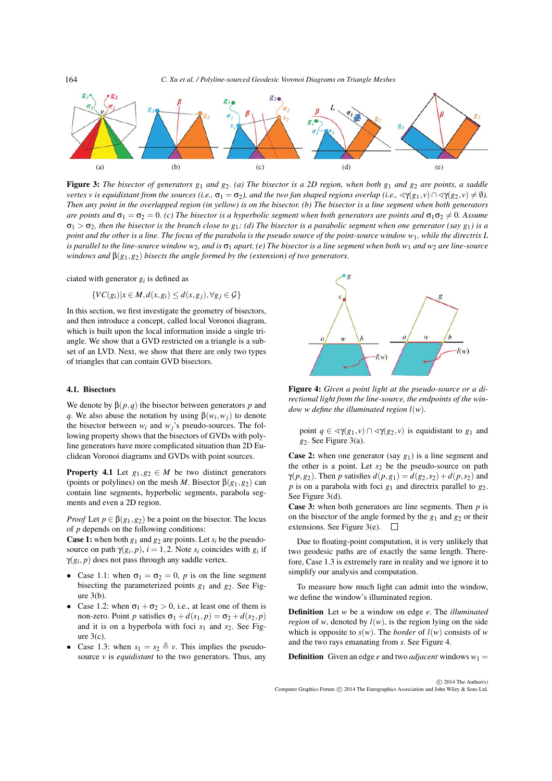*C. Xu et al. / Polyline-sourced Geodesic Voronoi Diagrams on Triangle Meshes*



Figure 3: *The bisector of generators g*<sup>1</sup> *and g*2*. (a) The bisector is a 2D region, when both g*<sup>1</sup> *and g*<sup>2</sup> *are points, a saddle vertex v is equidistant from the sources (i.e.,*  $\sigma_1 = \sigma_2$ ), and the two fan shaped regions overlap (i.e.,  $\prec\!\gamma(g_1,\nu)\cap\prec\!\gamma(g_2,\nu)\neq\emptyset$ ). *Then any point in the overlapped region (in yellow) is on the bisector. (b) The bisector is a line segment when both generators are points and*  $\sigma_1 = \sigma_2 = 0$ *. (c) The bisector is a hyperbolic segment when both generators are points and*  $\sigma_1 \sigma_2 \neq 0$ *. Assume*  $\sigma_1 > \sigma_2$ *, then the bisector is the branch close to g<sub>1</sub>; (d) The bisector is a parabolic segment when one generator (say g<sub>1</sub>) is a point and the other is a line. The focus of the parabola is the pseudo source of the point-source window w*1*, while the directrix L is parallel to the line-source window w<sub>2</sub>, and is*  $\sigma_1$  *apart.* (e) The bisector is a line segment when both w<sub>1</sub> and w<sub>2</sub> are line-source *windows and* β(*g*1,*g*2) *bisects the angle formed by the (extension) of two generators.*

ciated with generator *gi* is defined as

$$
\{VC(g_i)|x \in M, d(x, g_i) \leq d(x, g_j), \forall g_j \in \mathcal{G}\}
$$

In this section, we first investigate the geometry of bisectors, and then introduce a concept, called local Voronoi diagram, which is built upon the local information inside a single triangle. We show that a GVD restricted on a triangle is a subset of an LVD. Next, we show that there are only two types of triangles that can contain GVD bisectors.

# 4.1. Bisectors

164

We denote by  $\beta(p,q)$  the bisector between generators *p* and *q*. We also abuse the notation by using  $\beta(w_i, w_j)$  to denote the bisector between  $w_i$  and  $w_j$ 's pseudo-sources. The following property shows that the bisectors of GVDs with polyline generators have more complicated situation than 2D Euclidean Voronoi diagrams and GVDs with point sources.

**Property 4.1** Let  $g_1, g_2 \in M$  be two distinct generators (points or polylines) on the mesh *M*. Bisector  $\beta(g_1, g_2)$  can contain line segments, hyperbolic segments, parabola segments and even a 2D region.

*Proof* Let  $p \in \beta(g_1, g_2)$  be a point on the bisector. The locus of *p* depends on the following conditions:

**Case 1:** when both  $g_1$  and  $g_2$  are points. Let  $s_i$  be the pseudosource on path  $\gamma(g_i, p)$ ,  $i = 1, 2$ . Note  $s_i$  coincides with  $g_i$  if  $\gamma(g_i, p)$  does not pass through any saddle vertex.

- Case 1.1: when  $\sigma_1 = \sigma_2 = 0$ , *p* is on the line segment bisecting the parameterized points  $g_1$  and  $g_2$ . See Figure 3(b).
- Case 1.2: when  $\sigma_1 + \sigma_2 > 0$ , i.e., at least one of them is non-zero. Point *p* satisfies  $\sigma_1 + d(s_1, p) = \sigma_2 + d(s_2, p)$ and it is on a hyperbola with foci  $s_1$  and  $s_2$ . See Figure  $3(c)$ .
- Case 1.3: when  $s_1 = s_2 \triangleq v$ . This implies the pseudosource *v* is *equidistant* to the two generators. Thus, any



Figure 4: *Given a point light at the pseudo-source or a directional light from the line-source, the endpoints of the window w define the illuminated region l*(*w*)*.*

point  $q \in \langle \gamma(g_1, v) \cap \langle \gamma(g_2, v) \rangle$  is equidistant to  $g_1$  and *g*2. See Figure 3(a).

**Case 2:** when one generator (say  $g_1$ ) is a line segment and the other is a point. Let  $s_2$  be the pseudo-source on path *γ*(*p*,*g*<sub>2</sub>). Then *p* satisfies  $d(p, g_1) = d(g_2, s_2) + d(p, s_2)$  and  $p$  is on a parabola with foci  $g_1$  and directrix parallel to  $g_2$ . See Figure 3(d).

Case 3: when both generators are line segments. Then *p* is on the bisector of the angle formed by the  $g_1$  and  $g_2$  or their extensions. See Figure 3(e).  $\Box$ 

Due to floating-point computation, it is very unlikely that two geodesic paths are of exactly the same length. Therefore, Case 1.3 is extremely rare in reality and we ignore it to simplify our analysis and computation.

To measure how much light can admit into the window, we define the window's illuminated region.

Definition Let *w* be a window on edge *e*. The *illuminated region* of *w*, denoted by  $l(w)$ , is the region lying on the side which is opposite to  $s(w)$ . The *border* of  $l(w)$  consists of *w* and the two rays emanating from *s*. See Figure 4.

**Definition** Given an edge *e* and two *adjacent* windows  $w_1 =$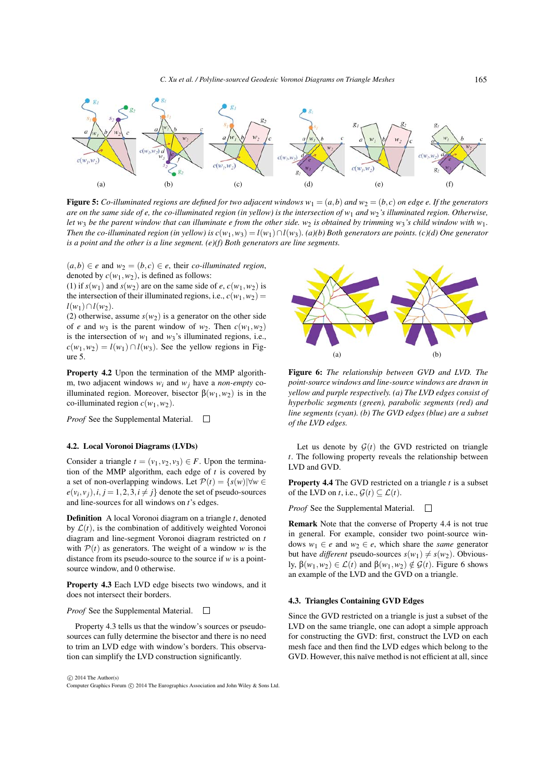

**Figure 5:** Co-illuminated regions are defined for two adjacent windows  $w_1 = (a, b)$  and  $w_2 = (b, c)$  on edge e. If the generators *are on the same side of e, the co-illuminated region (in yellow) is the intersection of w*<sup>1</sup> *and w*2*'s illuminated region. Otherwise, let* w<sub>3</sub> *be the parent window that can illuminate e from the other side. w<sub>2</sub> <i>is obtained by trimming w<sub>3</sub>'s child window with w<sub>1</sub>. Then the co-illuminated region (in yellow) is*  $c(w_1, w_3) = l(w_1) \cap l(w_3)$ *. (a)(b) Both generators are points. (c)(d) One generator is a point and the other is a line segment. (e)(f) Both generators are line segments.*

 $(a,b) ∈ e$  and  $w_2 = (b,c) ∈ e$ , their *co-illuminated region*, denoted by  $c(w_1, w_2)$ , is defined as follows:

(1) if  $s(w_1)$  and  $s(w_2)$  are on the same side of *e*,  $c(w_1, w_2)$  is the intersection of their illuminated regions, i.e.,  $c(w_1, w_2) =$ *l*(*w*<sub>1</sub>)∩*l*(*w*<sub>2</sub>).

(2) otherwise, assume  $s(w_2)$  is a generator on the other side of *e* and  $w_3$  is the parent window of  $w_2$ . Then  $c(w_1, w_2)$ is the intersection of  $w_1$  and  $w_3$ 's illuminated regions, i.e.,  $c(w_1, w_2) = l(w_1) \cap l(w_3)$ . See the yellow regions in Figure 5.

Property 4.2 Upon the termination of the MMP algorithm, two adjacent windows *wi* and *wj* have a *non-empty* coilluminated region. Moreover, bisector  $\beta(w_1, w_2)$  is in the co-illuminated region  $c(w_1, w_2)$ .

*Proof* See the Supplemental Material. □

### 4.2. Local Voronoi Diagrams (LVDs)

Consider a triangle  $t = (v_1, v_2, v_3) \in F$ . Upon the termination of the MMP algorithm, each edge of *t* is covered by a set of non-overlapping windows. Let  $\mathcal{P}(t) = \{s(w) | \forall w \in \mathcal{P}(t) \}$  $e(v_i, v_j), i, j = 1, 2, 3, i \neq j$  denote the set of pseudo-sources and line-sources for all windows on *t*'s edges.

Definition A local Voronoi diagram on a triangle *t*, denoted by  $\mathcal{L}(t)$ , is the combination of additively weighted Voronoi diagram and line-segment Voronoi diagram restricted on *t* with  $P(t)$  as generators. The weight of a window *w* is the distance from its pseudo-source to the source if *w* is a pointsource window, and 0 otherwise.

Property 4.3 Each LVD edge bisects two windows, and it does not intersect their borders.

### *Proof* See the Supplemental Material.  $\Box$

Property 4.3 tells us that the window's sources or pseudosources can fully determine the bisector and there is no need to trim an LVD edge with window's borders. This observation can simplify the LVD construction significantly.



Figure 6: *The relationship between GVD and LVD. The point-source windows and line-source windows are drawn in yellow and purple respectively. (a) The LVD edges consist of hyperbolic segments (green), parabolic segments (red) and line segments (cyan). (b) The GVD edges (blue) are a subset of the LVD edges.*

Let us denote by  $G(t)$  the GVD restricted on triangle *t*. The following property reveals the relationship between LVD and GVD.

Property 4.4 The GVD restricted on a triangle *t* is a subset of the LVD on *t*, i.e.,  $\mathcal{G}(t) \subset \mathcal{L}(t)$ .

*Proof* See the Supplemental Material.  $\Box$ 

Remark Note that the converse of Property 4.4 is not true in general. For example, consider two point-source windows  $w_1 \in e$  and  $w_2 \in e$ , which share the *same* generator but have *different* pseudo-sources  $s(w_1) \neq s(w_2)$ . Obviously,  $\beta(w_1, w_2) \in \mathcal{L}(t)$  and  $\beta(w_1, w_2) \notin \mathcal{G}(t)$ . Figure 6 shows an example of the LVD and the GVD on a triangle.

### 4.3. Triangles Containing GVD Edges

Since the GVD restricted on a triangle is just a subset of the LVD on the same triangle, one can adopt a simple approach for constructing the GVD: first, construct the LVD on each mesh face and then find the LVD edges which belong to the GVD. However, this naïve method is not efficient at all, since

-Computer Graphics Forum -c 2014 The Eurographics Association and John Wiley & Sons Ltd.  $\odot$  2014 The Author(s)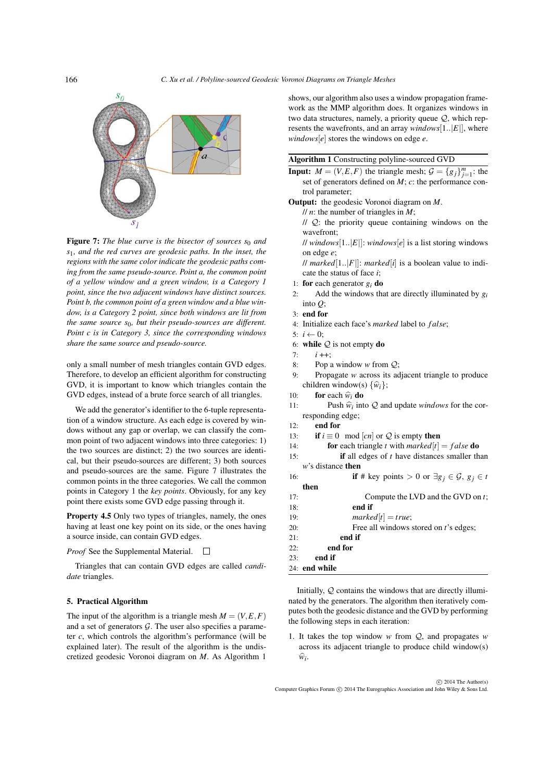

Figure 7: The blue curve is the bisector of sources  $s_0$  and *s*1*, and the red curves are geodesic paths. In the inset, the regions with the same color indicate the geodesic paths coming from the same pseudo-source. Point a, the common point of a yellow window and a green window, is a Category 1 point, since the two adjacent windows have distinct sources. Point b, the common point of a green window and a blue window, is a Category 2 point, since both windows are lit from the same source s*0*, but their pseudo-sources are different. Point c is in Category 3, since the corresponding windows share the same source and pseudo-source.*

only a small number of mesh triangles contain GVD edges. Therefore, to develop an efficient algorithm for constructing GVD, it is important to know which triangles contain the GVD edges, instead of a brute force search of all triangles.

We add the generator's identifier to the 6-tuple representation of a window structure. As each edge is covered by windows without any gap or overlap, we can classify the common point of two adjacent windows into three categories: 1) the two sources are distinct; 2) the two sources are identical, but their pseudo-sources are different; 3) both sources and pseudo-sources are the same. Figure 7 illustrates the common points in the three categories. We call the common points in Category 1 the *key points*. Obviously, for any key point there exists some GVD edge passing through it.

Property 4.5 Only two types of triangles, namely, the ones having at least one key point on its side, or the ones having a source inside, can contain GVD edges.

#### *Proof* See the Supplemental Material.  $\overline{\phantom{a}}$

Triangles that can contain GVD edges are called *candidate* triangles.

## 5. Practical Algorithm

The input of the algorithm is a triangle mesh  $M = (V, E, F)$ and a set of generators  $G$ . The user also specifies a parameter *c*, which controls the algorithm's performance (will be explained later). The result of the algorithm is the undiscretized geodesic Voronoi diagram on *M*. As Algorithm 1

shows, our algorithm also uses a window propagation framework as the MMP algorithm does. It organizes windows in two data structures, namely, a priority queue Q, which represents the wavefronts, and an array *windows*[1..|*E*|], where *windows*[*e*] stores the windows on edge *e*.

### Algorithm 1 Constructing polyline-sourced GVD

**Input:**  $M = (V, E, F)$  the triangle mesh;  $G = \{g_j\}_{j=1}^m$ : the set of generators defined on *M*; *c*: the performance control parameter;

Output: the geodesic Voronoi diagram on *M*.

- // *n*: the number of triangles in *M*;
- $\pi$ //  $\mathcal{Q}$ : the priority queue containing windows on the wavefront;

// *windows*[1..|*E*|]: *windows*[*e*] is a list storing windows on edge *e*;

// *marked*[1..|*F*|]: *marked*[*i*] is a boolean value to indicate the status of face *i*;

- 1: **for** each generator  $g_i$  **do**
- 2: Add the windows that are directly illuminated by *gi* into *Q*;
- 3: end for
- 4: Initialize each face's *marked* label to *f alse*;
- 5:  $i \leftarrow 0$ :
- 6: while  $Q$  is not empty do
- $7 \cdot i++$
- 8: Pop a window *w* from Q;
- 9: Propagate *w* across its adjacent triangle to produce Pop a window *w* from<br>Propagate *w* across it<br>children window(s)  $\{\hat{w}_i\}$ ; 8: Pop a wind<br>9: Propagate<br>children wind<br>10: **for** each  $\hat{w}$ 9: Propagate<br>
children windo<br>
10: **for** each  $\hat{w}$ <br>
11: Push  $\hat{w}$
- **for** each  $\widehat{w}_i$  **do**
- Push  $\hat{w}_i$  into  $Q$  and update *windows* for the corresponding edge;
- 12: end for
- 13: **if**  $i \equiv 0 \mod |cn|$  or Q is empty then
- 14: **for** each triangle *t* with  $marked[t] = false$  **do**
- 15: if all edges of *t* have distances smaller than *w*'s distance then
- 16: **if** # key points > 0 or  $\exists g_j \in \mathcal{G}, g_j \in t$
- then 17: Compute the LVD and the GVD on *t*;
- 18: end if
- 19:  $marked[t] = true;$
- 20: Free all windows stored on *t*'s edges;
- $21:$  end if
- 22: end for
- 23: end if
- 24: end while

Initially, Q contains the windows that are directly illuminated by the generators. The algorithm then iteratively computes both the geodesic distance and the GVD by performing the following steps in each iteration:

1. It takes the top window *w* from Q, and propagates *w* across its adjacent triangle to produce child window(s) It<br>as<br> $\widehat{w}$ *i*.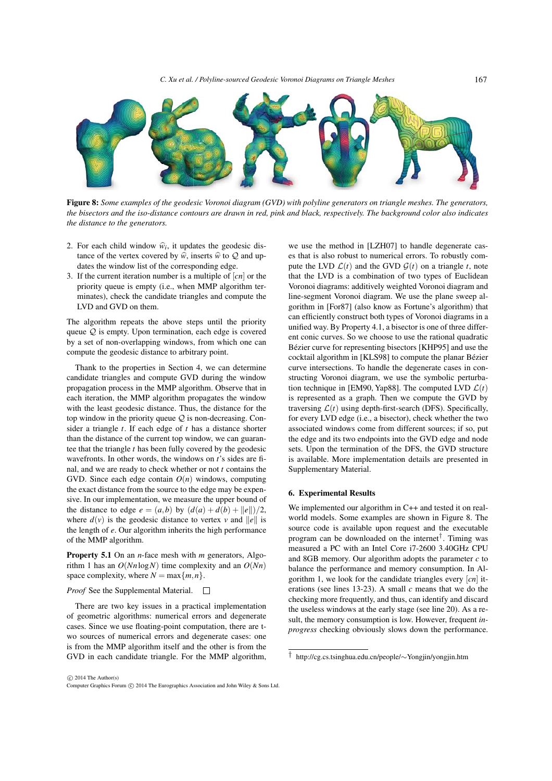

Figure 8: *Some examples of the geodesic Voronoi diagram (GVD) with polyline generators on triangle meshes. The generators, the bisectors and the iso-distance contours are drawn in red, pink and black, respectively. The background color also indicates the distance to the generators.* the bisectors and the iso distance comouts are drawn in red<br>the distance to the generators.<br>2. For each child window  $\hat{w}_i$ , it updates the geodesic dis-

- For each child window  $\hat{w}_i$ , it updates the tance of the vertex covered by  $\hat{w}_i$ , inserts  $\hat{w}_i$ tance of the vertex covered by  $\hat{w}$ , inserts  $\hat{w}$  to  $Q$  and updates the window list of the corresponding edge.
- 3. If the current iteration number is a multiple of [*cn*] or the priority queue is empty (i.e., when MMP algorithm terminates), check the candidate triangles and compute the LVD and GVD on them.

The algorithm repeats the above steps until the priority queue  $Q$  is empty. Upon termination, each edge is covered by a set of non-overlapping windows, from which one can compute the geodesic distance to arbitrary point.

Thank to the properties in Section 4, we can determine candidate triangles and compute GVD during the window propagation process in the MMP algorithm. Observe that in each iteration, the MMP algorithm propagates the window with the least geodesic distance. Thus, the distance for the top window in the priority queue  $Q$  is non-decreasing. Consider a triangle *t*. If each edge of *t* has a distance shorter than the distance of the current top window, we can guarantee that the triangle *t* has been fully covered by the geodesic wavefronts. In other words, the windows on *t*'s sides are final, and we are ready to check whether or not *t* contains the GVD. Since each edge contain  $O(n)$  windows, computing the exact distance from the source to the edge may be expensive. In our implementation, we measure the upper bound of the distance to edge  $e = (a, b)$  by  $(d(a) + d(b) + ||e||)/2$ , where  $d(v)$  is the geodesic distance to vertex *v* and  $||e||$  is the length of *e*. Our algorithm inherits the high performance of the MMP algorithm.

Property 5.1 On an *n*-face mesh with *m* generators, Algorithm 1 has an *O*(*Nn*log*N*) time complexity and an *O*(*Nn*) space complexity, where  $N = \max\{m, n\}.$ 

### *Proof* See the Supplemental Material.  $\Box$

There are two key issues in a practical implementation of geometric algorithms: numerical errors and degenerate cases. Since we use floating-point computation, there are two sources of numerical errors and degenerate cases: one is from the MMP algorithm itself and the other is from the GVD in each candidate triangle. For the MMP algorithm,

we use the method in [LZH07] to handle degenerate cases that is also robust to numerical errors. To robustly compute the LVD  $\mathcal{L}(t)$  and the GVD  $\mathcal{G}(t)$  on a triangle *t*, note that the LVD is a combination of two types of Euclidean Voronoi diagrams: additively weighted Voronoi diagram and line-segment Voronoi diagram. We use the plane sweep algorithm in [For87] (also know as Fortune's algorithm) that can efficiently construct both types of Voronoi diagrams in a unified way. By Property 4.1, a bisector is one of three different conic curves. So we choose to use the rational quadratic Bézier curve for representing bisectors [KHP95] and use the cocktail algorithm in [KLS98] to compute the planar Bézier curve intersections. To handle the degenerate cases in constructing Voronoi diagram, we use the symbolic perturbation technique in [EM90, Yap88]. The computed LVD  $\mathcal{L}(t)$ is represented as a graph. Then we compute the GVD by traversing  $\mathcal{L}(t)$  using depth-first-search (DFS). Specifically, for every LVD edge (i.e., a bisector), check whether the two associated windows come from different sources; if so, put the edge and its two endpoints into the GVD edge and node sets. Upon the termination of the DFS, the GVD structure is available. More implementation details are presented in Supplementary Material.

### 6. Experimental Results

We implemented our algorithm in C++ and tested it on realworld models. Some examples are shown in Figure 8. The source code is available upon request and the executable program can be downloaded on the internet<sup>†</sup>. Timing was measured a PC with an Intel Core i7-2600 3.40GHz CPU and 8GB memory. Our algorithm adopts the parameter *c* to balance the performance and memory consumption. In Algorithm 1, we look for the candidate triangles every [*cn*] iterations (see lines 13-23). A small *c* means that we do the checking more frequently, and thus, can identify and discard the useless windows at the early stage (see line 20). As a result, the memory consumption is low. However, frequent *inprogress* checking obviously slows down the performance.

<sup>†</sup> http://cg.cs.tsinghua.edu.cn/people/∼Yongjin/yongjin.htm

 $\odot$  2014 The Author(s)

<sup>-</sup>Computer Graphics Forum -c 2014 The Eurographics Association and John Wiley & Sons Ltd.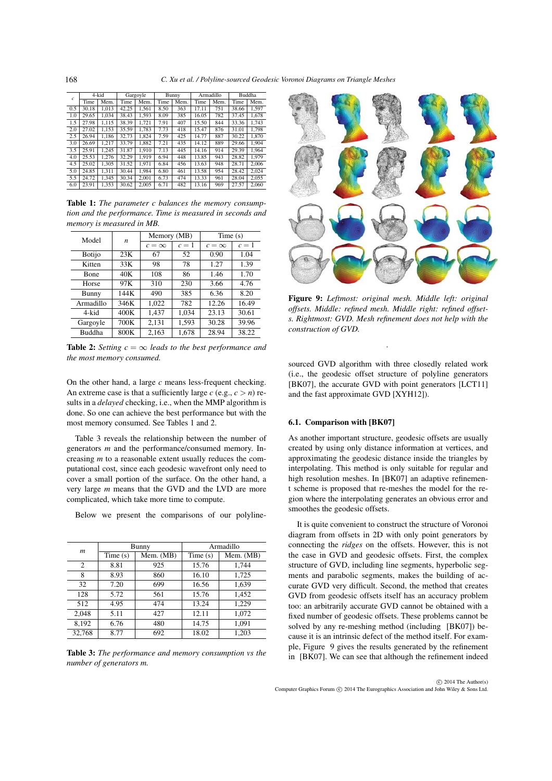| $\mathfrak{c}$ | 4-kid |       | Gargoyle |       | Bunny |      | Armadillo |      | Buddha |       |
|----------------|-------|-------|----------|-------|-------|------|-----------|------|--------|-------|
|                | Time  | Mem.  | Time     | Mem.  | Time  | Mem. | Time      | Mem. | Time   | Mem.  |
| 0.5            | 30.18 | 1.013 | 42.25    | 1.561 | 8.50  | 363  | 17.11     | 751  | 38.66  | 1.597 |
| 1.0            | 29.65 | 1.034 | 38.43    | 1.593 | 8.09  | 385  | 16.05     | 782  | 37.45  | 1.678 |
| 1.5            | 27.98 | 1.115 | 38.39    | 1.721 | 7.91  | 407  | 15.50     | 844  | 33.36  | 1.743 |
| 2.0            | 27.02 | 1.153 | 35.59    | 1.783 | 7.73  | 418  | 15.47     | 876  | 31.01  | 1.798 |
| 2.5            | 26.94 | 1.186 | 32.73    | 1.824 | 7.59  | 425  | 14.77     | 887  | 30.22  | 1.870 |
| 3.0            | 26.69 | 1.217 | 33.79    | 1.882 | 7.21  | 435  | 14.12     | 889  | 29.66  | 1.904 |
| 3.5            | 25.91 | 1.245 | 31.87    | 1.910 | 7.13  | 445  | 14.16     | 914  | 29.39  | 1.964 |
| 4.0            | 25.53 | 1.276 | 32.29    | 1.919 | 6.94  | 448  | 13.85     | 943  | 28.82  | 1.979 |
| 4.5            | 25.02 | 1.305 | 31.52    | 1.971 | 6.84  | 456  | 13.63     | 948  | 28.71  | 2.006 |
| 5.0            | 24.85 | 1.311 | 30.44    | 1.984 | 6.80  | 461  | 13.58     | 954  | 28.42  | 2,024 |
| 5.5            | 24.72 | 1.345 | 30.34    | 2.001 | 6.73  | 474  | 13.33     | 961  | 28.04  | 2.055 |
| 6.0            | 23.91 | 1.353 | 30.62    | 2.005 | 6.71  | 482  | 13.16     | 969  | 27.57  | 2.060 |

Table 1: *The parameter c balances the memory consumption and the performance. Time is measured in seconds and memory is measured in MB.*

| Model         | n    | Memory (MB) |       | Time(s)    |       |  |
|---------------|------|-------------|-------|------------|-------|--|
|               |      | $c=\infty$  | $c=1$ | $c=\infty$ | $c=1$ |  |
| <b>Botijo</b> | 23K  | 67          | 52    | 0.90       | 1.04  |  |
| Kitten        | 33K  | 98          | 78    | 1.27       | 1.39  |  |
| Bone          | 40K  | 108         | 86    | 1.46       | 1.70  |  |
| Horse         | 97K  | 310         | 230   | 3.66       | 4.76  |  |
| Bunny         | 144K | 490         | 385   | 6.36       | 8.20  |  |
| Armadillo     | 346K | 1.022       | 782   | 12.26      | 16.49 |  |
| 4-kid         | 400K | 1.437       | 1.034 | 23.13      | 30.61 |  |
| Gargoyle      | 700K | 2,131       | 1,593 | 30.28      | 39.96 |  |
| <b>Buddha</b> | 800K | 2.163       | 1.678 | 28.94      | 38.22 |  |

**Table 2:** *Setting*  $c = \infty$  *leads to the best performance and the most memory consumed.*

On the other hand, a large *c* means less-frequent checking. An extreme case is that a sufficiently large  $c$  (e.g.,  $c > n$ ) results in a *delayed* checking, i.e., when the MMP algorithm is done. So one can achieve the best performance but with the most memory consumed. See Tables 1 and 2.

Table 3 reveals the relationship between the number of generators *m* and the performance/consumed memory. Increasing *m* to a reasonable extent usually reduces the computational cost, since each geodesic wavefront only need to cover a small portion of the surface. On the other hand, a very large *m* means that the GVD and the LVD are more complicated, which take more time to compute.

Below we present the comparisons of our polyline-

|                  |         | Bunny     | Armadillo |           |  |  |
|------------------|---------|-----------|-----------|-----------|--|--|
| $\boldsymbol{m}$ | Time(s) | Mem. (MB) | Time(s)   | Mem. (MB) |  |  |
| 2                | 8.81    | 925       | 15.76     | 1,744     |  |  |
| 8                | 8.93    | 860       | 16.10     | 1,725     |  |  |
| 32               | 7.20    | 699       | 16.56     | 1,639     |  |  |
| 128              | 5.72    | 561       | 15.76     | 1,452     |  |  |
| 512              | 4.95    | 474       | 13.24     | 1,229     |  |  |
| 2.048            | 5.11    | 427       | 12.11     | 1,072     |  |  |
| 8,192            | 6.76    | 480       | 14.75     | 1,091     |  |  |
| 32.768           | 8.77    | 692       | 18.02     | 1.203     |  |  |

Table 3: *The performance and memory consumption vs the number of generators m.*



Figure 9: *Leftmost: original mesh. Middle left: original offsets. Middle: refined mesh. Middle right: refined offsets. Rightmost: GVD. Mesh refinement does not help with the construction of GVD.*

.

sourced GVD algorithm with three closedly related work (i.e., the geodesic offset structure of polyline generators [BK07], the accurate GVD with point generators [LCT11] and the fast approximate GVD [XYH12]).

# 6.1. Comparison with [BK07]

As another important structure, geodesic offsets are usually created by using only distance information at vertices, and approximating the geodesic distance inside the triangles by interpolating. This method is only suitable for regular and high resolution meshes. In [BK07] an adaptive refinement scheme is proposed that re-meshes the model for the region where the interpolating generates an obvious error and smoothes the geodesic offsets.

It is quite convenient to construct the structure of Voronoi diagram from offsets in 2D with only point generators by connecting the *ridges* on the offsets. However, this is not the case in GVD and geodesic offsets. First, the complex structure of GVD, including line segments, hyperbolic segments and parabolic segments, makes the building of accurate GVD very difficult. Second, the method that creates GVD from geodesic offsets itself has an accuracy problem too: an arbitrarily accurate GVD cannot be obtained with a fixed number of geodesic offsets. These problems cannot be solved by any re-meshing method (including [BK07]) because it is an intrinsic defect of the method itself. For example, Figure 9 gives the results generated by the refinement in [BK07]. We can see that although the refinement indeed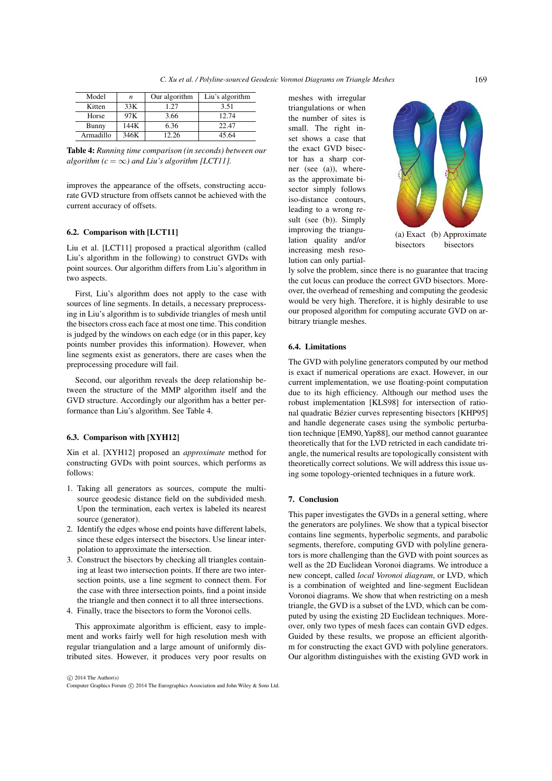| Model     | n    | Our algorithm | Liu's algorithm |
|-----------|------|---------------|-----------------|
| Kitten    | 33K  | 1.27          | 3.51            |
| Horse     | 97K  | 3.66          | 12.74           |
| Bunny     | 144K | 6.36          | 22.47           |
| Armadillo | 346K | 12.26         | 45.64           |

Table 4: *Running time comparison (in seconds) between our algorithm*  $(c = \infty)$  *and Liu's algorithm [LCT11].* 

improves the appearance of the offsets, constructing accurate GVD structure from offsets cannot be achieved with the current accuracy of offsets.

# 6.2. Comparison with [LCT11]

Liu et al. [LCT11] proposed a practical algorithm (called Liu's algorithm in the following) to construct GVDs with point sources. Our algorithm differs from Liu's algorithm in two aspects.

First, Liu's algorithm does not apply to the case with sources of line segments. In details, a necessary preprocessing in Liu's algorithm is to subdivide triangles of mesh until the bisectors cross each face at most one time. This condition is judged by the windows on each edge (or in this paper, key points number provides this information). However, when line segments exist as generators, there are cases when the preprocessing procedure will fail.

Second, our algorithm reveals the deep relationship between the structure of the MMP algorithm itself and the GVD structure. Accordingly our algorithm has a better performance than Liu's algorithm. See Table 4.

# 6.3. Comparison with [XYH12]

Xin et al. [XYH12] proposed an *approximate* method for constructing GVDs with point sources, which performs as follows:

- 1. Taking all generators as sources, compute the multisource geodesic distance field on the subdivided mesh. Upon the termination, each vertex is labeled its nearest source (generator).
- 2. Identify the edges whose end points have different labels, since these edges intersect the bisectors. Use linear interpolation to approximate the intersection.
- 3. Construct the bisectors by checking all triangles containing at least two intersection points. If there are two intersection points, use a line segment to connect them. For the case with three intersection points, find a point inside the triangle and then connect it to all three intersections.
- 4. Finally, trace the bisectors to form the Voronoi cells.

This approximate algorithm is efficient, easy to implement and works fairly well for high resolution mesh with regular triangulation and a large amount of uniformly distributed sites. However, it produces very poor results on meshes with irregular triangulations or when the number of sites is small. The right inset shows a case that the exact GVD bisector has a sharp corner (see (a)), whereas the approximate bisector simply follows iso-distance contours, leading to a wrong result (see (b)). Simply improving the triangulation quality and/or increasing mesh resolution can only partial-



(a) Exact (b) Approximate bisectors bisectors

ly solve the problem, since there is no guarantee that tracing the cut locus can produce the correct GVD bisectors. Moreover, the overhead of remeshing and computing the geodesic would be very high. Therefore, it is highly desirable to use our proposed algorithm for computing accurate GVD on arbitrary triangle meshes.

# 6.4. Limitations

The GVD with polyline generators computed by our method is exact if numerical operations are exact. However, in our current implementation, we use floating-point computation due to its high efficiency. Although our method uses the robust implementation [KLS98] for intersection of rational quadratic Bézier curves representing bisectors [KHP95] and handle degenerate cases using the symbolic perturbation technique [EM90,Yap88], our method cannot guarantee theoretically that for the LVD retricted in each candidate triangle, the numerical results are topologically consistent with theoretically correct solutions. We will address this issue using some topology-oriented techniques in a future work.

### 7. Conclusion

This paper investigates the GVDs in a general setting, where the generators are polylines. We show that a typical bisector contains line segments, hyperbolic segments, and parabolic segments, therefore, computing GVD with polyline generators is more challenging than the GVD with point sources as well as the 2D Euclidean Voronoi diagrams. We introduce a new concept, called *local Voronoi diagram*, or LVD, which is a combination of weighted and line-segment Euclidean Voronoi diagrams. We show that when restricting on a mesh triangle, the GVD is a subset of the LVD, which can be computed by using the existing 2D Euclidean techniques. Moreover, only two types of mesh faces can contain GVD edges. Guided by these results, we propose an efficient algorithm for constructing the exact GVD with polyline generators. Our algorithm distinguishes with the existing GVD work in

-Computer Graphics Forum -c 2014 The Eurographics Association and John Wiley & Sons Ltd.  $\odot$  2014 The Author(s)